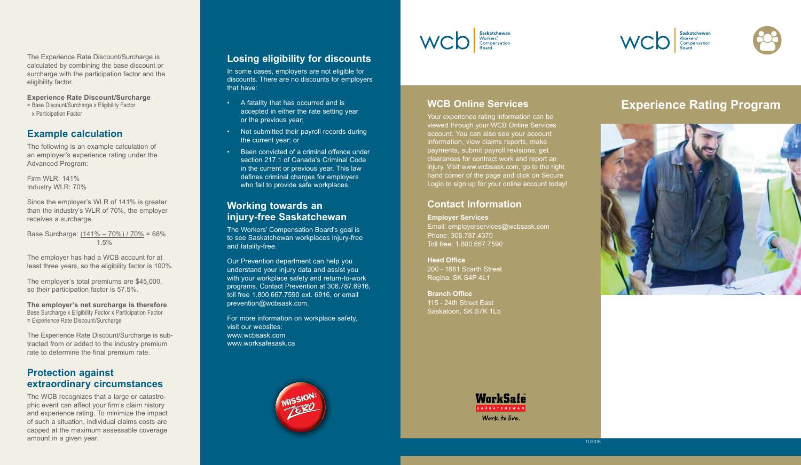The Experience Rate Discount/Surcharge is calculated by combining the base discount or surcharge with the participation factor and the eligibility factor.

**Experience Rate Discount/Surcharge**  = Base Discount/Surcharge x Eligibility Factor

x Participation Factor

## **Example calculation**

The following is an example calculation of an employer's experience rating under the Advanced Program:

Firm WLR: 141% Industry WLR: 70%

Since the employer's WLR of 141% is greater than the industry's WLR of 70%, the employer receives a surcharge.

Base Surcharge: (141% – 70%) / 70% = 68% 1.5%

The employer has had a WCB account for at least three years, so the eligibility factor is 100%.

The employer's total premiums are \$45,000, so their participation factor is 57.5%.

**The employer's net surcharge is therefore** Base Surcharge x Eligibility Factor x Participation Factor = Experience Rate Discount/Surcharge

The Experience Rate Discount/Surcharge is subtracted from or added to the industry premium rate to determine the final premium rate.

# **Protection against extraordinary circumstances**

The WCB recognizes that a large or catastrophic event can affect your firm's claim history and experience rating. To minimize the impact of such a situation, individual claims costs are capped at the maximum assessable coverage amount in a given year.

## **Losing eligibility for discounts**

In some cases, employers are not eligible for discounts. There are no discounts for employers that have:

- A fatality that has occurred and is accepted in either the rate setting year or the previous year;
- Not submitted their payroll records during the current year; or
- Been convicted of a criminal offence under section 217.1 of Canada's Criminal Code in the current or previous year. This law defines criminal charges for employers who fail to provide safe workplaces.

### **Working towards an injury-free Saskatchewan**

The Workers' Compensation Board's goal is to see Saskatchewan workplaces injury-free and fatality-free.

Our Prevention department can help you understand your injury data and assist you with your workplace safety and return-to-work programs. Contact Prevention at 306.787.6916, toll free 1.800.667.7590 ext. 6916, or email prevention@wcbsask.com.

For more information on workplace safety, visit our websites: www.wcbsask.com www.worksafesask.ca





# **WCB Online Services**

Your experience rating information can be viewed through your WCB Online Services account. You can also see your account information, view claims reports, make payments, submit payroll revisions, get clearances for contract work and report an injury. Visit www.wcbsask.com, go to the right hand corner of the page and click on Secure Login to sign up for your online account today!

# **Contact Information**

**Employer Services** Email: employerservices@wcbsask.com Phone: 306.787.4370 Toll free: 1.800.667.7590

**Head Office** 200 - 1881 Scarth Street Regina, SK S4P 4L1

**Branch Office** 115 - 24th Street East Saskatoon, SK S7K 1L5



WCD Saskatchewan

# **Experience Rating Program**